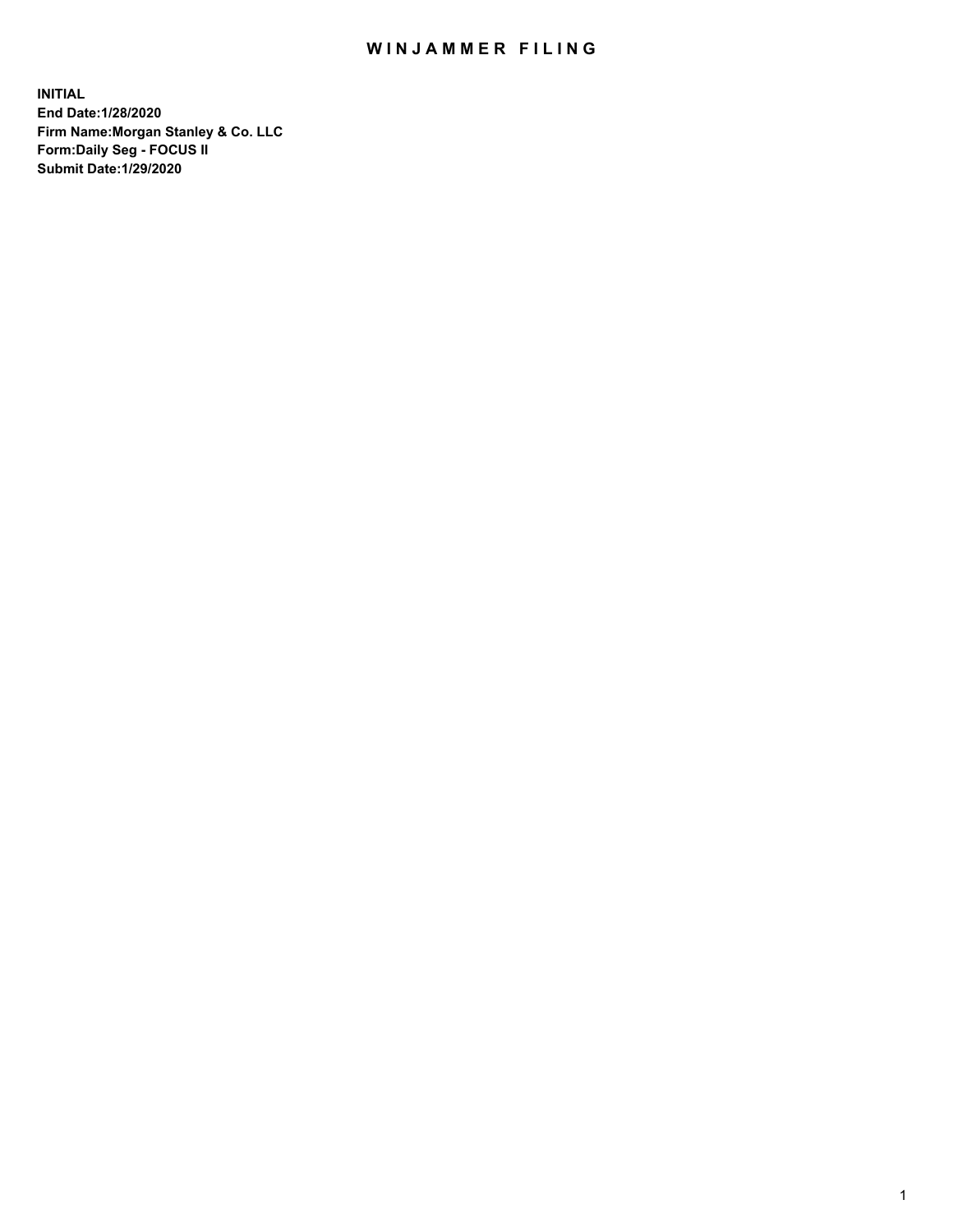## WIN JAMMER FILING

**INITIAL End Date:1/28/2020 Firm Name:Morgan Stanley & Co. LLC Form:Daily Seg - FOCUS II Submit Date:1/29/2020**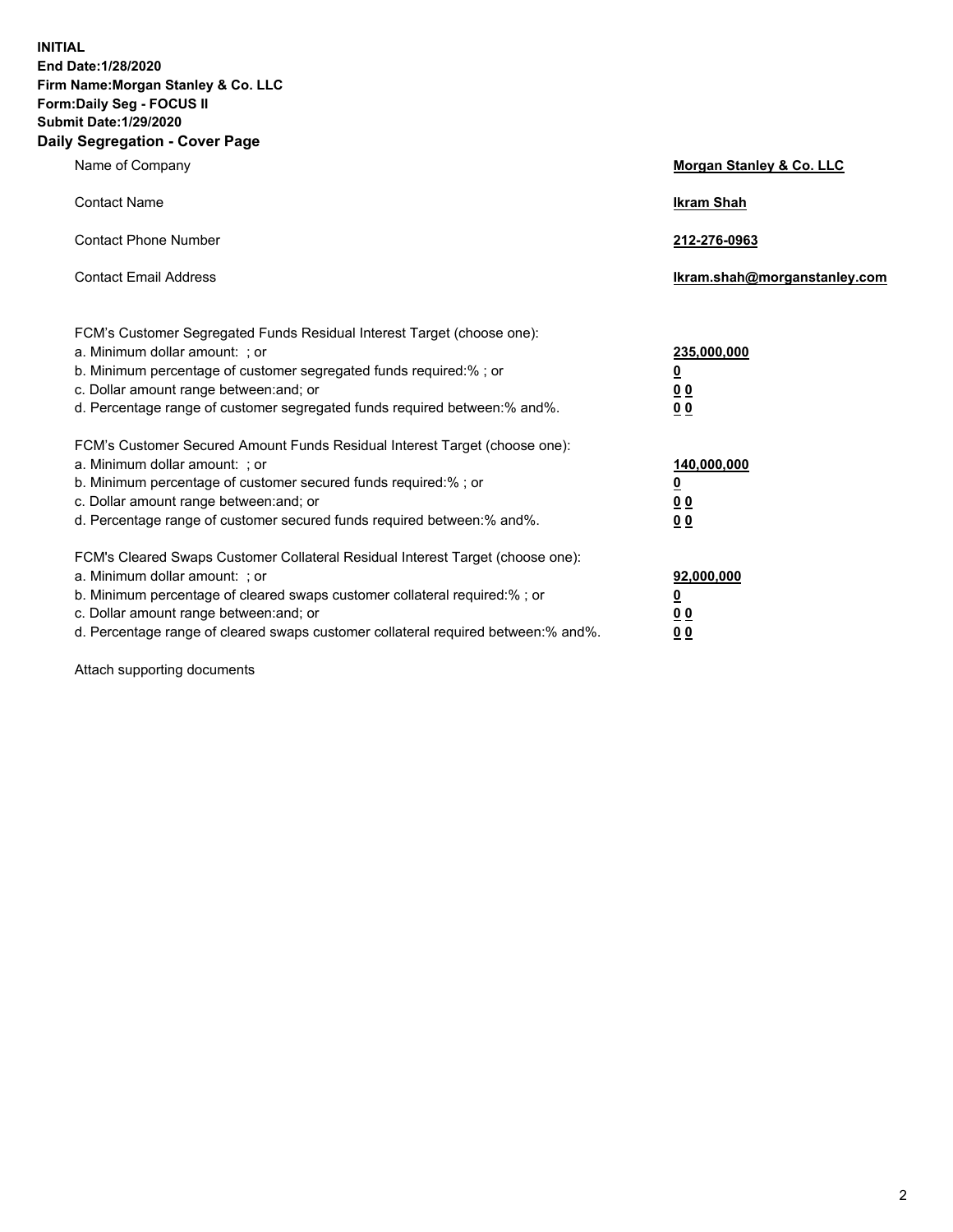**INITIAL End Date:1/28/2020 Firm Name:Morgan Stanley & Co. LLC Form:Daily Seg - FOCUS II Submit Date:1/29/2020 Daily Segregation - Cover Page**

| Name of Company                                                                                                                                                                                                                                                                                                                | Morgan Stanley & Co. LLC                               |
|--------------------------------------------------------------------------------------------------------------------------------------------------------------------------------------------------------------------------------------------------------------------------------------------------------------------------------|--------------------------------------------------------|
| <b>Contact Name</b>                                                                                                                                                                                                                                                                                                            | <b>Ikram Shah</b>                                      |
| <b>Contact Phone Number</b>                                                                                                                                                                                                                                                                                                    | 212-276-0963                                           |
| <b>Contact Email Address</b>                                                                                                                                                                                                                                                                                                   | lkram.shah@morganstanley.com                           |
| FCM's Customer Segregated Funds Residual Interest Target (choose one):<br>a. Minimum dollar amount: ; or<br>b. Minimum percentage of customer segregated funds required:% ; or<br>c. Dollar amount range between: and; or<br>d. Percentage range of customer segregated funds required between:% and%.                         | 235,000,000<br><u>0</u><br><u>00</u><br>0 <sub>0</sub> |
| FCM's Customer Secured Amount Funds Residual Interest Target (choose one):<br>a. Minimum dollar amount: ; or<br>b. Minimum percentage of customer secured funds required:% ; or<br>c. Dollar amount range between: and; or<br>d. Percentage range of customer secured funds required between:% and%.                           | 140,000,000<br><u>0</u><br>0 <sub>0</sub><br>00        |
| FCM's Cleared Swaps Customer Collateral Residual Interest Target (choose one):<br>a. Minimum dollar amount: ; or<br>b. Minimum percentage of cleared swaps customer collateral required:% ; or<br>c. Dollar amount range between: and; or<br>d. Percentage range of cleared swaps customer collateral required between:% and%. | 92,000,000<br><u>0</u><br><u>00</u><br>00              |

Attach supporting documents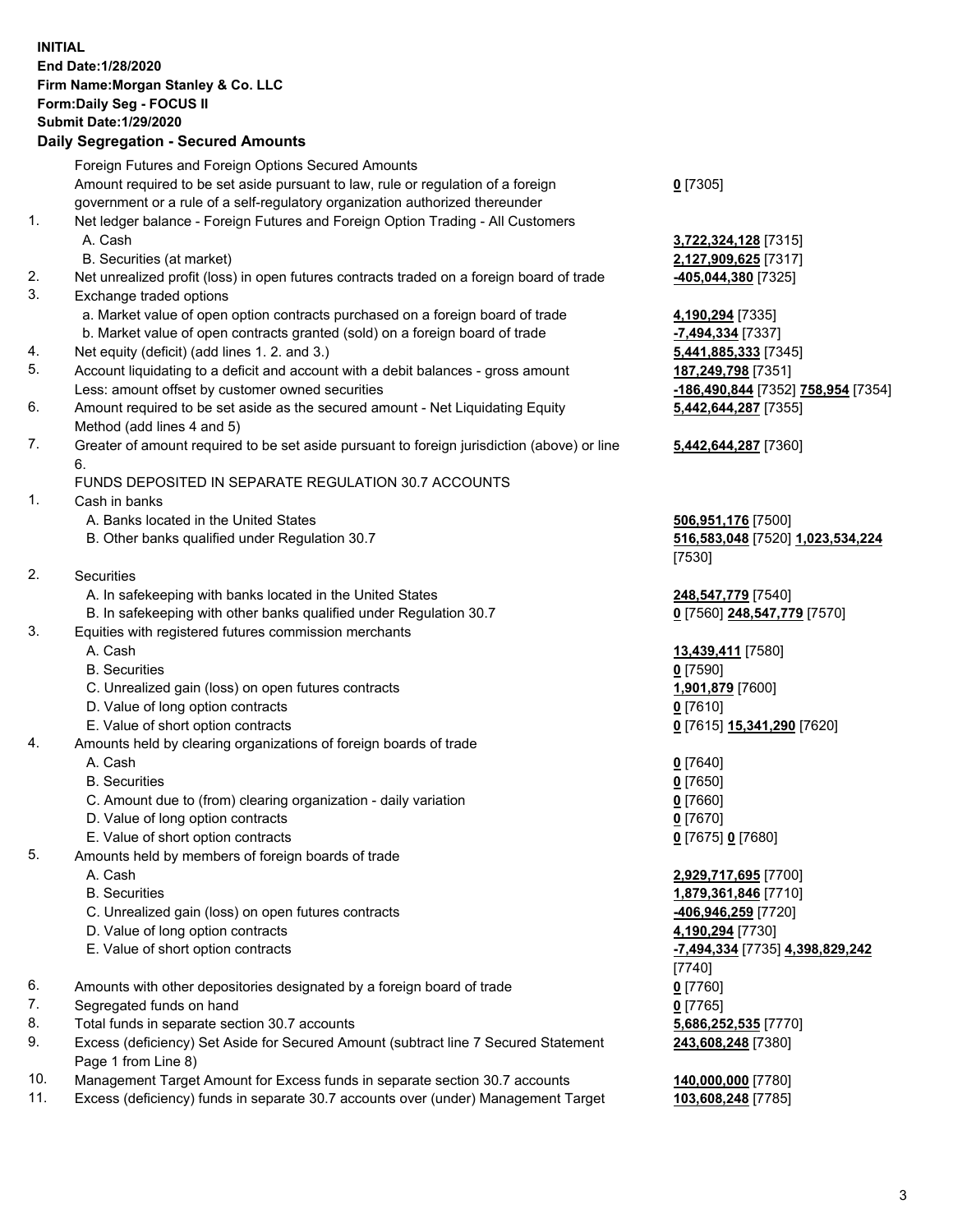## **INITIAL End Date:1/28/2020 Firm Name:Morgan Stanley & Co. LLC Form:Daily Seg - FOCUS II Submit Date:1/29/2020 Daily Segregation - Secured Amounts** Foreign Futures and Foreign Options Secured Amounts Amount required to be set aside pursuant to law, rule or regulation of a foreign government or a rule of a self-regulatory organization authorized thereunder 1. Net ledger balance - Foreign Futures and Foreign Option Trading - All Customers A. Cash **3,722,324,128** [7315] B. Securities (at market) **2,127,909,625** [7317] 2. Net unrealized profit (loss) in open futures contracts traded on a foreign board of trade **-405,044,380** [7325] 3. Exchange traded options a. Market value of open option contracts purchased on a foreign board of trade **4,190,294** [7335] b. Market value of open contracts granted (sold) on a foreign board of trade **-7,494,334** [7337] 4. Net equity (deficit) (add lines 1. 2. and 3.) **5,441,885,333** [7345] 5. Account liquidating to a deficit and account with a debit balances - gross amount **187,249,798** [7351] Less: amount offset by customer owned securities **-186,490,844** [7352] **758,954** [7354] 6. Amount required to be set aside as the secured amount - Net Liquidating Equity Method (add lines 4 and 5) 7. Greater of amount required to be set aside pursuant to foreign jurisdiction (above) or line 6. FUNDS DEPOSITED IN SEPARATE REGULATION 30.7 ACCOUNTS 1. Cash in banks A. Banks located in the United States **506,951,176** [7500] B. Other banks qualified under Regulation 30.7 **516,583,048** [7520] **1,023,534,224** 2. Securities A. In safekeeping with banks located in the United States **248,547,779** [7540] B. In safekeeping with other banks qualified under Regulation 30.7 **0** [7560] **248,547,779** [7570] 3. Equities with registered futures commission merchants A. Cash **13,439,411** [7580] B. Securities **0** [7590] C. Unrealized gain (loss) on open futures contracts **1,901,879** [7600] D. Value of long option contracts **0** [7610] E. Value of short option contracts **0** [7615] **15,341,290** [7620] 4. Amounts held by clearing organizations of foreign boards of trade A. Cash **0** [7640] B. Securities **0** [7650] C. Amount due to (from) clearing organization - daily variation **0** [7660] D. Value of long option contracts **0** [7670] E. Value of short option contracts **0** [7675] **0** [7680] 5. Amounts held by members of foreign boards of trade A. Cash **2,929,717,695** [7700] B. Securities **1,879,361,846** [7710] C. Unrealized gain (loss) on open futures contracts **-406,946,259** [7720] D. Value of long option contracts **4,190,294** [7730] E. Value of short option contracts **-7,494,334** [7735] **4,398,829,242** 6. Amounts with other depositories designated by a foreign board of trade **0** [7760]

- 7. Segregated funds on hand **0** [7765]
- 8. Total funds in separate section 30.7 accounts **5,686,252,535** [7770]
- 9. Excess (deficiency) Set Aside for Secured Amount (subtract line 7 Secured Statement Page 1 from Line 8)
- 10. Management Target Amount for Excess funds in separate section 30.7 accounts **140,000,000** [7780]
- 11. Excess (deficiency) funds in separate 30.7 accounts over (under) Management Target **103,608,248** [7785]

**0** [7305]

**5,442,644,287** [7355]

## **5,442,644,287** [7360]

[7530]

[7740] **243,608,248** [7380]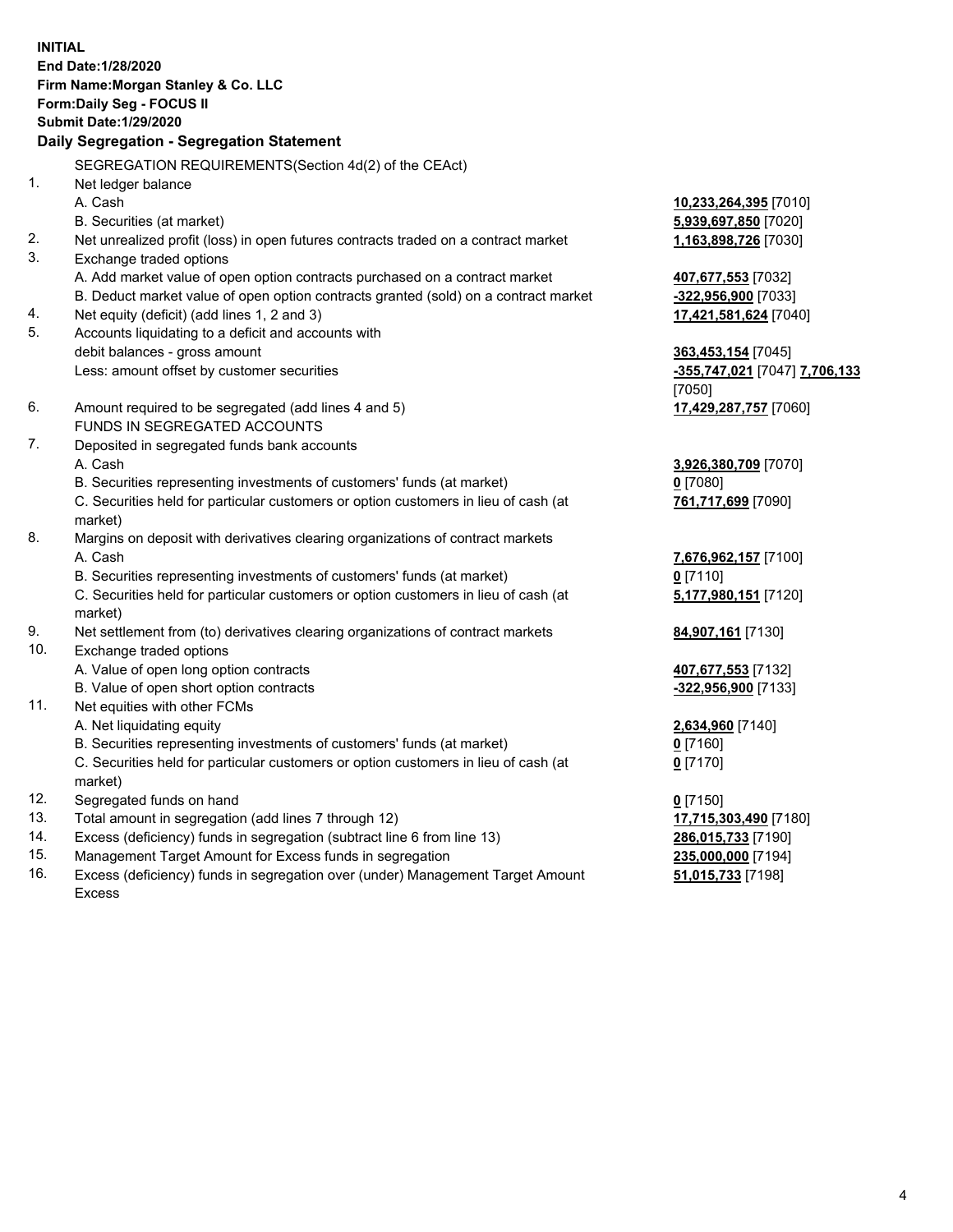**INITIAL End Date:1/28/2020 Firm Name:Morgan Stanley & Co. LLC Form:Daily Seg - FOCUS II Submit Date:1/29/2020 Daily Segregation - Segregation Statement** SEGREGATION REQUIREMENTS(Section 4d(2) of the CEAct) 1. Net ledger balance A. Cash **10,233,264,395** [7010] B. Securities (at market) **5,939,697,850** [7020] 2. Net unrealized profit (loss) in open futures contracts traded on a contract market **1,163,898,726** [7030] 3. Exchange traded options A. Add market value of open option contracts purchased on a contract market **407,677,553** [7032] B. Deduct market value of open option contracts granted (sold) on a contract market **-322,956,900** [7033] 4. Net equity (deficit) (add lines 1, 2 and 3) **17,421,581,624** [7040] 5. Accounts liquidating to a deficit and accounts with debit balances - gross amount **363,453,154** [7045] Less: amount offset by customer securities **-355,747,021** [7047] **7,706,133** [7050] 6. Amount required to be segregated (add lines 4 and 5) **17,429,287,757** [7060] FUNDS IN SEGREGATED ACCOUNTS 7. Deposited in segregated funds bank accounts A. Cash **3,926,380,709** [7070] B. Securities representing investments of customers' funds (at market) **0** [7080] C. Securities held for particular customers or option customers in lieu of cash (at market) **761,717,699** [7090] 8. Margins on deposit with derivatives clearing organizations of contract markets A. Cash **7,676,962,157** [7100] B. Securities representing investments of customers' funds (at market) **0** [7110] C. Securities held for particular customers or option customers in lieu of cash (at market) **5,177,980,151** [7120] 9. Net settlement from (to) derivatives clearing organizations of contract markets **84,907,161** [7130] 10. Exchange traded options A. Value of open long option contracts **407,677,553** [7132] B. Value of open short option contracts **-322,956,900** [7133] 11. Net equities with other FCMs A. Net liquidating equity **2,634,960** [7140] B. Securities representing investments of customers' funds (at market) **0** [7160] C. Securities held for particular customers or option customers in lieu of cash (at market) **0** [7170] 12. Segregated funds on hand **0** [7150] 13. Total amount in segregation (add lines 7 through 12) **17,715,303,490** [7180] 14. Excess (deficiency) funds in segregation (subtract line 6 from line 13) **286,015,733** [7190] 15. Management Target Amount for Excess funds in segregation **235,000,000** [7194]

16. Excess (deficiency) funds in segregation over (under) Management Target Amount Excess

**51,015,733** [7198]